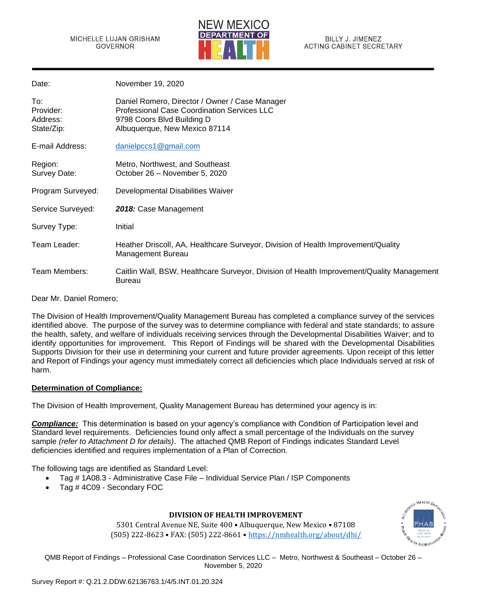

| Date:                                      | November 19, 2020                                                                                                                                            |
|--------------------------------------------|--------------------------------------------------------------------------------------------------------------------------------------------------------------|
| To:<br>Provider:<br>Address:<br>State/Zip: | Daniel Romero, Director / Owner / Case Manager<br>Professional Case Coordination Services LLC<br>9798 Coors Blvd Building D<br>Albuquerque, New Mexico 87114 |
| E-mail Address:                            | danielpccs1@gmail.com                                                                                                                                        |
| Region:<br>Survey Date:                    | Metro, Northwest, and Southeast<br>October 26 – November 5, 2020                                                                                             |
| Program Surveyed:                          | Developmental Disabilities Waiver                                                                                                                            |
| Service Surveyed:                          | 2018: Case Management                                                                                                                                        |
| Survey Type:                               | Initial                                                                                                                                                      |
| Team Leader:                               | Heather Driscoll, AA, Healthcare Surveyor, Division of Health Improvement/Quality<br><b>Management Bureau</b>                                                |
| Team Members:                              | Caitlin Wall, BSW, Healthcare Surveyor, Division of Health Improvement/Quality Management<br><b>Bureau</b>                                                   |

Dear Mr. Daniel Romero;

The Division of Health Improvement/Quality Management Bureau has completed a compliance survey of the services identified above. The purpose of the survey was to determine compliance with federal and state standards; to assure the health, safety, and welfare of individuals receiving services through the Developmental Disabilities Waiver; and to identify opportunities for improvement. This Report of Findings will be shared with the Developmental Disabilities Supports Division for their use in determining your current and future provider agreements. Upon receipt of this letter and Report of Findings your agency must immediately correct all deficiencies which place Individuals served at risk of harm.

### **Determination of Compliance:**

The Division of Health Improvement, Quality Management Bureau has determined your agency is in:

*Compliance:* This determination is based on your agency's compliance with Condition of Participation level and Standard level requirements. Deficiencies found only affect a small percentage of the Individuals on the survey sample *(refer to Attachment D for details)*. The attached QMB Report of Findings indicates Standard Level deficiencies identified and requires implementation of a Plan of Correction.

The following tags are identified as Standard Level:

- Tag # 1A08.3 Administrative Case File Individual Service Plan / ISP Components
- Tag # 4C09 Secondary FOC

## **DIVISION OF HEALTH IMPROVEMENT**

5301 Central Avenue NE, Suite 400 • Albuquerque, New Mexico • 87108 (505) 222-8623 • FAX: (505) 222-8661 • <https://nmhealth.org/about/dhi/>

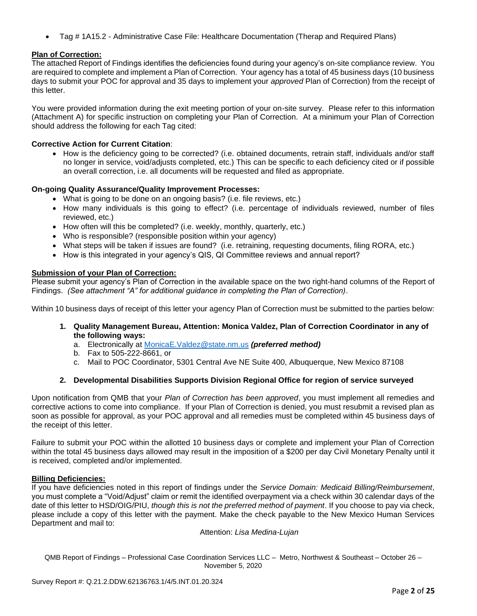• Tag # 1A15.2 - Administrative Case File: Healthcare Documentation (Therap and Required Plans)

## **Plan of Correction:**

The attached Report of Findings identifies the deficiencies found during your agency's on-site compliance review. You are required to complete and implement a Plan of Correction. Your agency has a total of 45 business days (10 business days to submit your POC for approval and 35 days to implement your *approved* Plan of Correction) from the receipt of this letter.

You were provided information during the exit meeting portion of your on-site survey. Please refer to this information (Attachment A) for specific instruction on completing your Plan of Correction. At a minimum your Plan of Correction should address the following for each Tag cited:

## **Corrective Action for Current Citation**:

• How is the deficiency going to be corrected? (i.e. obtained documents, retrain staff, individuals and/or staff no longer in service, void/adjusts completed, etc.) This can be specific to each deficiency cited or if possible an overall correction, i.e. all documents will be requested and filed as appropriate.

## **On-going Quality Assurance/Quality Improvement Processes:**

- What is going to be done on an ongoing basis? (i.e. file reviews, etc.)
- How many individuals is this going to effect? (i.e. percentage of individuals reviewed, number of files reviewed, etc.)
- How often will this be completed? (i.e. weekly, monthly, quarterly, etc.)
- Who is responsible? (responsible position within your agency)
- What steps will be taken if issues are found? (i.e. retraining, requesting documents, filing RORA, etc.)
- How is this integrated in your agency's QIS, QI Committee reviews and annual report?

## **Submission of your Plan of Correction:**

Please submit your agency's Plan of Correction in the available space on the two right-hand columns of the Report of Findings. *(See attachment "A" for additional guidance in completing the Plan of Correction)*.

Within 10 business days of receipt of this letter your agency Plan of Correction must be submitted to the parties below:

**1. Quality Management Bureau, Attention: Monica Valdez, Plan of Correction Coordinator in any of the following ways:**

a. Electronically at [MonicaE.Valdez@state.nm.us](mailto:MonicaE.Valdez@state.nm.us) *(preferred method)*

- b. Fax to 505-222-8661, or
- c. Mail to POC Coordinator, 5301 Central Ave NE Suite 400, Albuquerque, New Mexico 87108

### **2. Developmental Disabilities Supports Division Regional Office for region of service surveyed**

Upon notification from QMB that your *Plan of Correction has been approved*, you must implement all remedies and corrective actions to come into compliance. If your Plan of Correction is denied, you must resubmit a revised plan as soon as possible for approval, as your POC approval and all remedies must be completed within 45 business days of the receipt of this letter.

Failure to submit your POC within the allotted 10 business days or complete and implement your Plan of Correction within the total 45 business days allowed may result in the imposition of a \$200 per day Civil Monetary Penalty until it is received, completed and/or implemented.

### **Billing Deficiencies:**

If you have deficiencies noted in this report of findings under the *Service Domain: Medicaid Billing/Reimbursement*, you must complete a "Void/Adjust" claim or remit the identified overpayment via a check within 30 calendar days of the date of this letter to HSD/OIG/PIU, *though this is not the preferred method of payment*. If you choose to pay via check, please include a copy of this letter with the payment. Make the check payable to the New Mexico Human Services Department and mail to:

Attention: *Lisa Medina-Lujan*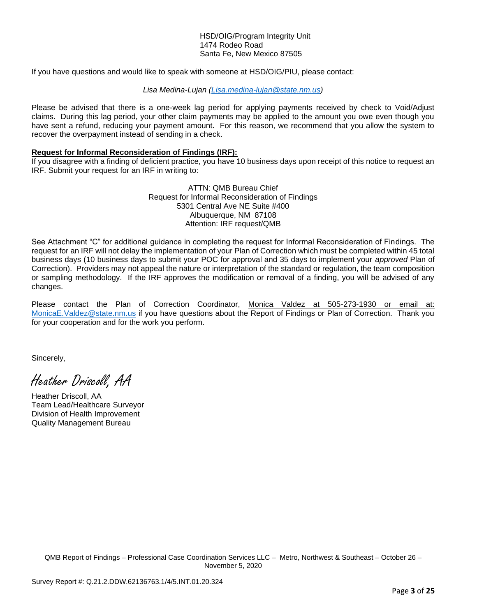#### HSD/OIG/Program Integrity Unit 1474 Rodeo Road Santa Fe, New Mexico 87505

If you have questions and would like to speak with someone at HSD/OIG/PIU, please contact:

#### *Lisa Medina-Lujan [\(Lisa.medina-lujan@state.nm.us\)](mailto:Lisa.medina-lujan@state.nm.us)*

Please be advised that there is a one-week lag period for applying payments received by check to Void/Adjust claims. During this lag period, your other claim payments may be applied to the amount you owe even though you have sent a refund, reducing your payment amount. For this reason, we recommend that you allow the system to recover the overpayment instead of sending in a check.

### **Request for Informal Reconsideration of Findings (IRF):**

If you disagree with a finding of deficient practice, you have 10 business days upon receipt of this notice to request an IRF. Submit your request for an IRF in writing to:

> ATTN: QMB Bureau Chief Request for Informal Reconsideration of Findings 5301 Central Ave NE Suite #400 Albuquerque, NM 87108 Attention: IRF request/QMB

See Attachment "C" for additional guidance in completing the request for Informal Reconsideration of Findings. The request for an IRF will not delay the implementation of your Plan of Correction which must be completed within 45 total business days (10 business days to submit your POC for approval and 35 days to implement your *approved* Plan of Correction). Providers may not appeal the nature or interpretation of the standard or regulation, the team composition or sampling methodology. If the IRF approves the modification or removal of a finding, you will be advised of any changes.

Please contact the Plan of Correction Coordinator, Monica Valdez at 505-273-1930 or email at: [MonicaE.Valdez@state.nm.us](mailto:MonicaE.Valdez@state.nm.us) if you have questions about the Report of Findings or Plan of Correction. Thank you for your cooperation and for the work you perform.

Sincerely,

Heather Driscoll, AA

Heather Driscoll, AA Team Lead/Healthcare Surveyor Division of Health Improvement Quality Management Bureau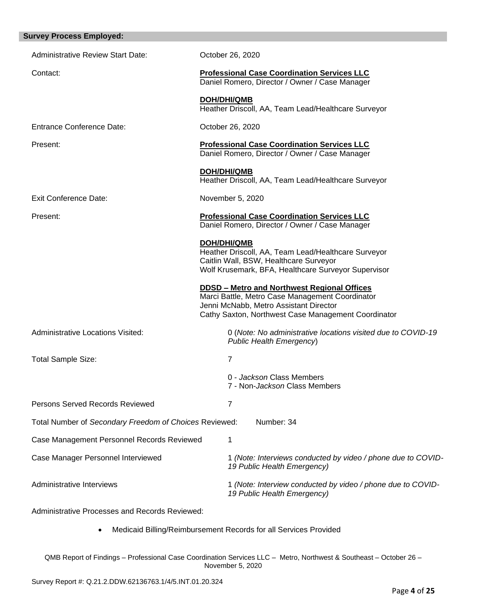| <b>Survey Process Employed:</b>                        |                                                                                                                                                                                                        |
|--------------------------------------------------------|--------------------------------------------------------------------------------------------------------------------------------------------------------------------------------------------------------|
| <b>Administrative Review Start Date:</b>               | October 26, 2020                                                                                                                                                                                       |
| Contact:                                               | <b>Professional Case Coordination Services LLC</b><br>Daniel Romero, Director / Owner / Case Manager                                                                                                   |
|                                                        | <b>DOH/DHI/QMB</b><br>Heather Driscoll, AA, Team Lead/Healthcare Surveyor                                                                                                                              |
| <b>Entrance Conference Date:</b>                       | October 26, 2020                                                                                                                                                                                       |
| Present:                                               | <b>Professional Case Coordination Services LLC</b><br>Daniel Romero, Director / Owner / Case Manager                                                                                                   |
|                                                        | <b>DOH/DHI/QMB</b><br>Heather Driscoll, AA, Team Lead/Healthcare Surveyor                                                                                                                              |
| <b>Exit Conference Date:</b>                           | November 5, 2020                                                                                                                                                                                       |
| Present:                                               | <b>Professional Case Coordination Services LLC</b><br>Daniel Romero, Director / Owner / Case Manager                                                                                                   |
|                                                        | <b>DOH/DHI/QMB</b><br>Heather Driscoll, AA, Team Lead/Healthcare Surveyor<br>Caitlin Wall, BSW, Healthcare Surveyor<br>Wolf Krusemark, BFA, Healthcare Surveyor Supervisor                             |
|                                                        | <b>DDSD - Metro and Northwest Regional Offices</b><br>Marci Battle, Metro Case Management Coordinator<br>Jenni McNabb, Metro Assistant Director<br>Cathy Saxton, Northwest Case Management Coordinator |
| <b>Administrative Locations Visited:</b>               | 0 (Note: No administrative locations visited due to COVID-19<br>Public Health Emergency)                                                                                                               |
| <b>Total Sample Size:</b>                              | $\overline{7}$                                                                                                                                                                                         |
|                                                        | 0 - Jackson Class Members<br>7 - Non-Jackson Class Members                                                                                                                                             |
| <b>Persons Served Records Reviewed</b>                 | 7                                                                                                                                                                                                      |
| Total Number of Secondary Freedom of Choices Reviewed: | Number: 34                                                                                                                                                                                             |
| Case Management Personnel Records Reviewed             | 1                                                                                                                                                                                                      |
| Case Manager Personnel Interviewed                     | 1 (Note: Interviews conducted by video / phone due to COVID-<br>19 Public Health Emergency)                                                                                                            |
| Administrative Interviews                              | 1 (Note: Interview conducted by video / phone due to COVID-<br>19 Public Health Emergency)                                                                                                             |
| Administrative Processes and Records Reviewed:         |                                                                                                                                                                                                        |

• Medicaid Billing/Reimbursement Records for all Services Provided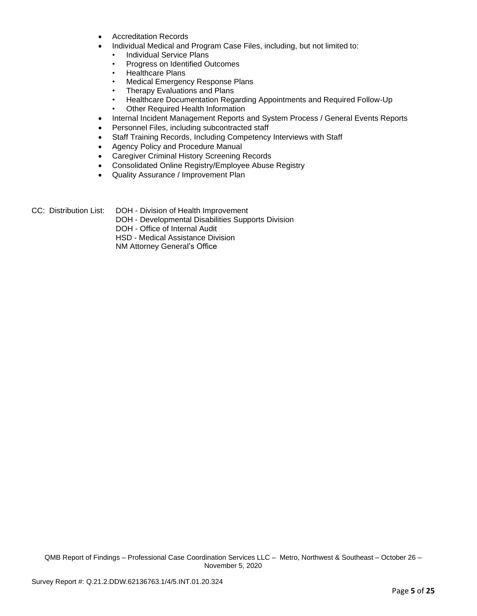- Accreditation Records
	- Individual Medical and Program Case Files, including, but not limited to:
		- Individual Service Plans
		- Progress on Identified Outcomes
		- Healthcare Plans
		- Medical Emergency Response Plans
		- Therapy Evaluations and Plans
		- Healthcare Documentation Regarding Appointments and Required Follow-Up
		- Other Required Health Information
- Internal Incident Management Reports and System Process / General Events Reports
- Personnel Files, including subcontracted staff
- Staff Training Records, Including Competency Interviews with Staff
- Agency Policy and Procedure Manual
- Caregiver Criminal History Screening Records
- Consolidated Online Registry/Employee Abuse Registry
- Quality Assurance / Improvement Plan
- CC: Distribution List: DOH Division of Health Improvement
	- DOH Developmental Disabilities Supports Division
	- DOH Office of Internal Audit

HSD - Medical Assistance Division

NM Attorney General's Office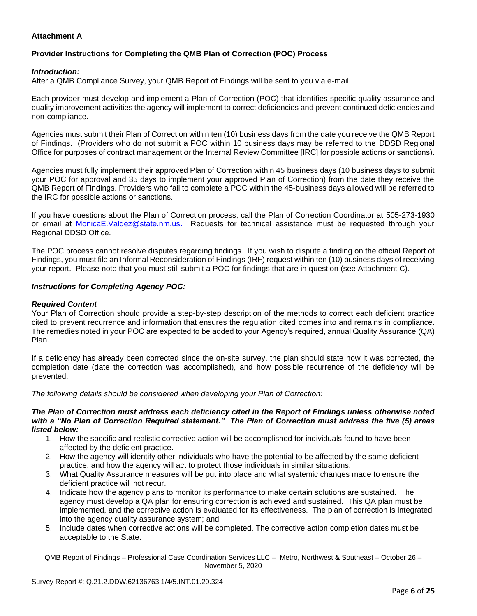## **Attachment A**

# **Provider Instructions for Completing the QMB Plan of Correction (POC) Process**

## *Introduction:*

After a QMB Compliance Survey, your QMB Report of Findings will be sent to you via e-mail.

Each provider must develop and implement a Plan of Correction (POC) that identifies specific quality assurance and quality improvement activities the agency will implement to correct deficiencies and prevent continued deficiencies and non-compliance.

Agencies must submit their Plan of Correction within ten (10) business days from the date you receive the QMB Report of Findings. (Providers who do not submit a POC within 10 business days may be referred to the DDSD Regional Office for purposes of contract management or the Internal Review Committee [IRC] for possible actions or sanctions).

Agencies must fully implement their approved Plan of Correction within 45 business days (10 business days to submit your POC for approval and 35 days to implement your approved Plan of Correction) from the date they receive the QMB Report of Findings. Providers who fail to complete a POC within the 45-business days allowed will be referred to the IRC for possible actions or sanctions.

If you have questions about the Plan of Correction process, call the Plan of Correction Coordinator at 505-273-1930 or email at [MonicaE.Valdez@state.nm.us.](mailto:MonicaE.Valdez@state.nm.us) Requests for technical assistance must be requested through your Regional DDSD Office.

The POC process cannot resolve disputes regarding findings. If you wish to dispute a finding on the official Report of Findings, you must file an Informal Reconsideration of Findings (IRF) request within ten (10) business days of receiving your report. Please note that you must still submit a POC for findings that are in question (see Attachment C).

### *Instructions for Completing Agency POC:*

### *Required Content*

Your Plan of Correction should provide a step-by-step description of the methods to correct each deficient practice cited to prevent recurrence and information that ensures the regulation cited comes into and remains in compliance. The remedies noted in your POC are expected to be added to your Agency's required, annual Quality Assurance (QA) Plan.

If a deficiency has already been corrected since the on-site survey, the plan should state how it was corrected, the completion date (date the correction was accomplished), and how possible recurrence of the deficiency will be prevented.

*The following details should be considered when developing your Plan of Correction:*

#### *The Plan of Correction must address each deficiency cited in the Report of Findings unless otherwise noted with a "No Plan of Correction Required statement." The Plan of Correction must address the five (5) areas listed below:*

- 1. How the specific and realistic corrective action will be accomplished for individuals found to have been affected by the deficient practice.
- 2. How the agency will identify other individuals who have the potential to be affected by the same deficient practice, and how the agency will act to protect those individuals in similar situations.
- 3. What Quality Assurance measures will be put into place and what systemic changes made to ensure the deficient practice will not recur.
- 4. Indicate how the agency plans to monitor its performance to make certain solutions are sustained. The agency must develop a QA plan for ensuring correction is achieved and sustained. This QA plan must be implemented, and the corrective action is evaluated for its effectiveness. The plan of correction is integrated into the agency quality assurance system; and
- 5. Include dates when corrective actions will be completed. The corrective action completion dates must be acceptable to the State.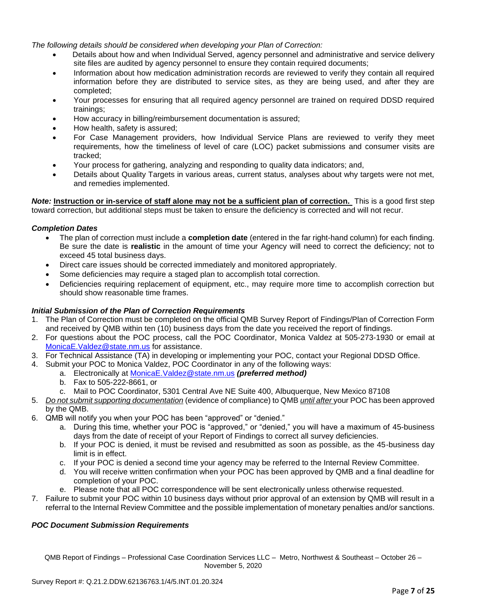*The following details should be considered when developing your Plan of Correction:*

- Details about how and when Individual Served, agency personnel and administrative and service delivery site files are audited by agency personnel to ensure they contain required documents;
- Information about how medication administration records are reviewed to verify they contain all required information before they are distributed to service sites, as they are being used, and after they are completed;
- Your processes for ensuring that all required agency personnel are trained on required DDSD required trainings;
- How accuracy in billing/reimbursement documentation is assured;
- How health, safety is assured;
- For Case Management providers, how Individual Service Plans are reviewed to verify they meet requirements, how the timeliness of level of care (LOC) packet submissions and consumer visits are tracked;
- Your process for gathering, analyzing and responding to quality data indicators; and,
- Details about Quality Targets in various areas, current status, analyses about why targets were not met, and remedies implemented.

*Note:* **Instruction or in-service of staff alone may not be a sufficient plan of correction.** This is a good first step toward correction, but additional steps must be taken to ensure the deficiency is corrected and will not recur.

### *Completion Dates*

- The plan of correction must include a **completion date** (entered in the far right-hand column) for each finding. Be sure the date is **realistic** in the amount of time your Agency will need to correct the deficiency; not to exceed 45 total business days.
- Direct care issues should be corrected immediately and monitored appropriately.
- Some deficiencies may require a staged plan to accomplish total correction.
- Deficiencies requiring replacement of equipment, etc., may require more time to accomplish correction but should show reasonable time frames.

### *Initial Submission of the Plan of Correction Requirements*

- 1. The Plan of Correction must be completed on the official QMB Survey Report of Findings/Plan of Correction Form and received by QMB within ten (10) business days from the date you received the report of findings.
- 2. For questions about the POC process, call the POC Coordinator, Monica Valdez at 505-273-1930 or email at [MonicaE.Valdez@state.nm.us](mailto:MonicaE.Valdez@state.nm.us) for assistance.
- 3. For Technical Assistance (TA) in developing or implementing your POC, contact your Regional DDSD Office.
- 4. Submit your POC to Monica Valdez, POC Coordinator in any of the following ways:
	- a. Electronically at [MonicaE.Valdez@state.nm.us](mailto:MonicaE.Valdez@state.nm.us) *(preferred method)*
	- b. Fax to 505-222-8661, or
	- c. Mail to POC Coordinator, 5301 Central Ave NE Suite 400, Albuquerque, New Mexico 87108
- 5. *Do not submit supporting documentation* (evidence of compliance) to QMB *until after* your POC has been approved by the QMB.
- 6. QMB will notify you when your POC has been "approved" or "denied."
	- a. During this time, whether your POC is "approved," or "denied," you will have a maximum of 45-business days from the date of receipt of your Report of Findings to correct all survey deficiencies.
	- b. If your POC is denied, it must be revised and resubmitted as soon as possible, as the 45-business day limit is in effect.
	- c. If your POC is denied a second time your agency may be referred to the Internal Review Committee.
	- d. You will receive written confirmation when your POC has been approved by QMB and a final deadline for completion of your POC.
	- e. Please note that all POC correspondence will be sent electronically unless otherwise requested.
- 7. Failure to submit your POC within 10 business days without prior approval of an extension by QMB will result in a referral to the Internal Review Committee and the possible implementation of monetary penalties and/or sanctions.

### *POC Document Submission Requirements*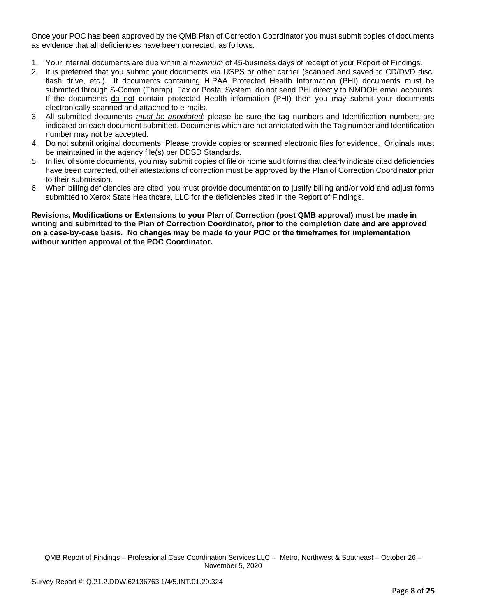Once your POC has been approved by the QMB Plan of Correction Coordinator you must submit copies of documents as evidence that all deficiencies have been corrected, as follows.

- 1. Your internal documents are due within a *maximum* of 45-business days of receipt of your Report of Findings.
- 2. It is preferred that you submit your documents via USPS or other carrier (scanned and saved to CD/DVD disc, flash drive, etc.). If documents containing HIPAA Protected Health Information (PHI) documents must be submitted through S-Comm (Therap), Fax or Postal System, do not send PHI directly to NMDOH email accounts. If the documents do not contain protected Health information (PHI) then you may submit your documents electronically scanned and attached to e-mails.
- 3. All submitted documents *must be annotated*; please be sure the tag numbers and Identification numbers are indicated on each document submitted. Documents which are not annotated with the Tag number and Identification number may not be accepted.
- 4. Do not submit original documents; Please provide copies or scanned electronic files for evidence. Originals must be maintained in the agency file(s) per DDSD Standards.
- 5. In lieu of some documents, you may submit copies of file or home audit forms that clearly indicate cited deficiencies have been corrected, other attestations of correction must be approved by the Plan of Correction Coordinator prior to their submission.
- 6. When billing deficiencies are cited, you must provide documentation to justify billing and/or void and adjust forms submitted to Xerox State Healthcare, LLC for the deficiencies cited in the Report of Findings.

**Revisions, Modifications or Extensions to your Plan of Correction (post QMB approval) must be made in writing and submitted to the Plan of Correction Coordinator, prior to the completion date and are approved on a case-by-case basis. No changes may be made to your POC or the timeframes for implementation without written approval of the POC Coordinator.**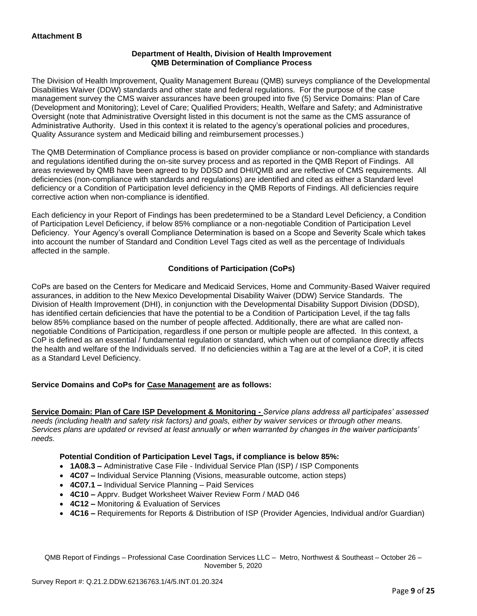## **Department of Health, Division of Health Improvement QMB Determination of Compliance Process**

The Division of Health Improvement, Quality Management Bureau (QMB) surveys compliance of the Developmental Disabilities Waiver (DDW) standards and other state and federal regulations. For the purpose of the case management survey the CMS waiver assurances have been grouped into five (5) Service Domains: Plan of Care (Development and Monitoring); Level of Care; Qualified Providers; Health, Welfare and Safety; and Administrative Oversight (note that Administrative Oversight listed in this document is not the same as the CMS assurance of Administrative Authority. Used in this context it is related to the agency's operational policies and procedures, Quality Assurance system and Medicaid billing and reimbursement processes.)

The QMB Determination of Compliance process is based on provider compliance or non-compliance with standards and regulations identified during the on-site survey process and as reported in the QMB Report of Findings. All areas reviewed by QMB have been agreed to by DDSD and DHI/QMB and are reflective of CMS requirements. All deficiencies (non-compliance with standards and regulations) are identified and cited as either a Standard level deficiency or a Condition of Participation level deficiency in the QMB Reports of Findings. All deficiencies require corrective action when non-compliance is identified.

Each deficiency in your Report of Findings has been predetermined to be a Standard Level Deficiency, a Condition of Participation Level Deficiency, if below 85% compliance or a non-negotiable Condition of Participation Level Deficiency. Your Agency's overall Compliance Determination is based on a Scope and Severity Scale which takes into account the number of Standard and Condition Level Tags cited as well as the percentage of Individuals affected in the sample.

## **Conditions of Participation (CoPs)**

CoPs are based on the Centers for Medicare and Medicaid Services, Home and Community-Based Waiver required assurances, in addition to the New Mexico Developmental Disability Waiver (DDW) Service Standards. The Division of Health Improvement (DHI), in conjunction with the Developmental Disability Support Division (DDSD), has identified certain deficiencies that have the potential to be a Condition of Participation Level, if the tag falls below 85% compliance based on the number of people affected. Additionally, there are what are called nonnegotiable Conditions of Participation, regardless if one person or multiple people are affected. In this context, a CoP is defined as an essential / fundamental regulation or standard, which when out of compliance directly affects the health and welfare of the Individuals served. If no deficiencies within a Tag are at the level of a CoP, it is cited as a Standard Level Deficiency.

## **Service Domains and CoPs for Case Management are as follows:**

**Service Domain: Plan of Care ISP Development & Monitoring -** *Service plans address all participates' assessed needs (including health and safety risk factors) and goals, either by waiver services or through other means. Services plans are updated or revised at least annually or when warranted by changes in the waiver participants' needs.*

## **Potential Condition of Participation Level Tags, if compliance is below 85%:**

- **1A08.3 –** Administrative Case File Individual Service Plan (ISP) / ISP Components
- **4C07 –** Individual Service Planning (Visions, measurable outcome, action steps)
- **4C07.1 –** Individual Service Planning Paid Services
- **4C10 –** Apprv. Budget Worksheet Waiver Review Form / MAD 046
- **4C12 –** Monitoring & Evaluation of Services
- **4C16 –** Requirements for Reports & Distribution of ISP (Provider Agencies, Individual and/or Guardian)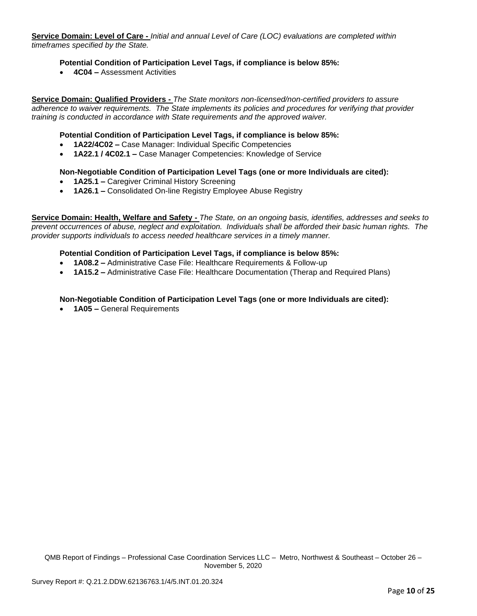**Service Domain: Level of Care -** *Initial and annual Level of Care (LOC) evaluations are completed within timeframes specified by the State.*

### **Potential Condition of Participation Level Tags, if compliance is below 85%:**

• **4C04 –** Assessment Activities

**Service Domain: Qualified Providers -** *The State monitors non-licensed/non-certified providers to assure adherence to waiver requirements. The State implements its policies and procedures for verifying that provider training is conducted in accordance with State requirements and the approved waiver.*

### **Potential Condition of Participation Level Tags, if compliance is below 85%:**

- **1A22/4C02 –** Case Manager: Individual Specific Competencies
- **1A22.1 / 4C02.1 –** Case Manager Competencies: Knowledge of Service

### **Non-Negotiable Condition of Participation Level Tags (one or more Individuals are cited):**

- **1A25.1 –** Caregiver Criminal History Screening
- **1A26.1 –** Consolidated On-line Registry Employee Abuse Registry

**Service Domain: Health, Welfare and Safety -** *The State, on an ongoing basis, identifies, addresses and seeks to prevent occurrences of abuse, neglect and exploitation. Individuals shall be afforded their basic human rights. The provider supports individuals to access needed healthcare services in a timely manner.*

### **Potential Condition of Participation Level Tags, if compliance is below 85%:**

- **1A08.2 –** Administrative Case File: Healthcare Requirements & Follow-up
- **1A15.2 –** Administrative Case File: Healthcare Documentation (Therap and Required Plans)

## **Non-Negotiable Condition of Participation Level Tags (one or more Individuals are cited):**

• **1A05 –** General Requirements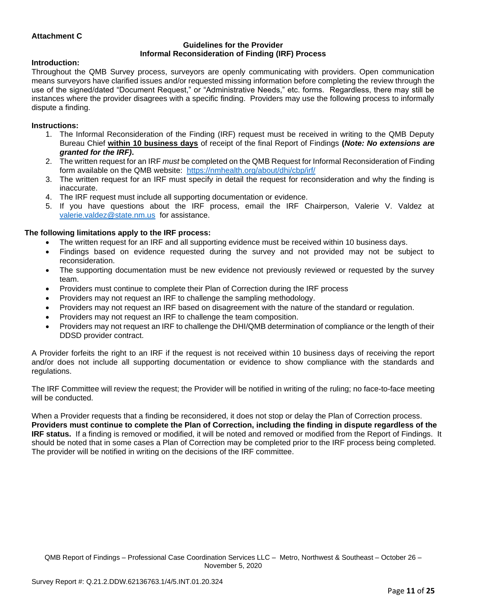## **Attachment C**

#### **Guidelines for the Provider Informal Reconsideration of Finding (IRF) Process**

#### **Introduction:**

Throughout the QMB Survey process, surveyors are openly communicating with providers. Open communication means surveyors have clarified issues and/or requested missing information before completing the review through the use of the signed/dated "Document Request," or "Administrative Needs," etc. forms. Regardless, there may still be instances where the provider disagrees with a specific finding. Providers may use the following process to informally dispute a finding.

#### **Instructions:**

- 1. The Informal Reconsideration of the Finding (IRF) request must be received in writing to the QMB Deputy Bureau Chief **within 10 business days** of receipt of the final Report of Findings **(***Note: No extensions are granted for the IRF)***.**
- 2. The written request for an IRF *must* be completed on the QMB Request for Informal Reconsideration of Finding form available on the QMB website: <https://nmhealth.org/about/dhi/cbp/irf/>
- 3. The written request for an IRF must specify in detail the request for reconsideration and why the finding is inaccurate.
- 4. The IRF request must include all supporting documentation or evidence.
- 5. If you have questions about the IRF process, email the IRF Chairperson, Valerie V. Valdez at [valerie.valdez@state.nm.us](mailto:valerie.valdez@state.nm.us) for assistance.

#### **The following limitations apply to the IRF process:**

- The written request for an IRF and all supporting evidence must be received within 10 business days.
- Findings based on evidence requested during the survey and not provided may not be subject to reconsideration.
- The supporting documentation must be new evidence not previously reviewed or requested by the survey team.
- Providers must continue to complete their Plan of Correction during the IRF process
- Providers may not request an IRF to challenge the sampling methodology.
- Providers may not request an IRF based on disagreement with the nature of the standard or regulation.
- Providers may not request an IRF to challenge the team composition.
- Providers may not request an IRF to challenge the DHI/QMB determination of compliance or the length of their DDSD provider contract.

A Provider forfeits the right to an IRF if the request is not received within 10 business days of receiving the report and/or does not include all supporting documentation or evidence to show compliance with the standards and regulations.

The IRF Committee will review the request; the Provider will be notified in writing of the ruling; no face-to-face meeting will be conducted.

When a Provider requests that a finding be reconsidered, it does not stop or delay the Plan of Correction process. **Providers must continue to complete the Plan of Correction, including the finding in dispute regardless of the IRF status.** If a finding is removed or modified, it will be noted and removed or modified from the Report of Findings. It should be noted that in some cases a Plan of Correction may be completed prior to the IRF process being completed. The provider will be notified in writing on the decisions of the IRF committee.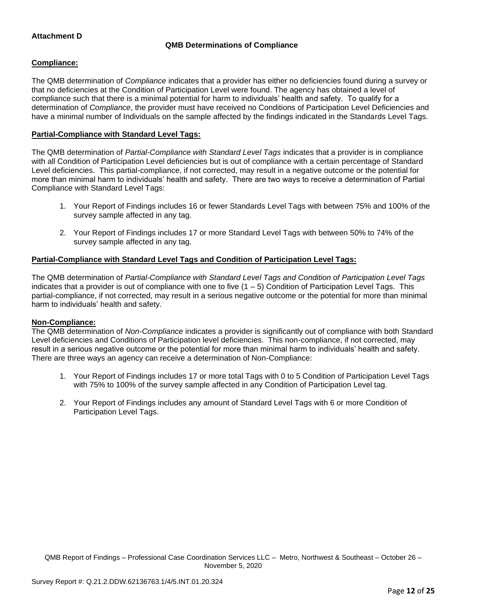## **Attachment D**

## **QMB Determinations of Compliance**

### **Compliance:**

The QMB determination of *Compliance* indicates that a provider has either no deficiencies found during a survey or that no deficiencies at the Condition of Participation Level were found. The agency has obtained a level of compliance such that there is a minimal potential for harm to individuals' health and safety. To qualify for a determination of *Compliance*, the provider must have received no Conditions of Participation Level Deficiencies and have a minimal number of Individuals on the sample affected by the findings indicated in the Standards Level Tags.

## **Partial-Compliance with Standard Level Tags:**

The QMB determination of *Partial-Compliance with Standard Level Tags* indicates that a provider is in compliance with all Condition of Participation Level deficiencies but is out of compliance with a certain percentage of Standard Level deficiencies. This partial-compliance, if not corrected, may result in a negative outcome or the potential for more than minimal harm to individuals' health and safety. There are two ways to receive a determination of Partial Compliance with Standard Level Tags:

- 1. Your Report of Findings includes 16 or fewer Standards Level Tags with between 75% and 100% of the survey sample affected in any tag.
- 2. Your Report of Findings includes 17 or more Standard Level Tags with between 50% to 74% of the survey sample affected in any tag.

## **Partial-Compliance with Standard Level Tags and Condition of Participation Level Tags:**

The QMB determination of *Partial-Compliance with Standard Level Tags and Condition of Participation Level Tags*  indicates that a provider is out of compliance with one to five  $(1 - 5)$  Condition of Participation Level Tags. This partial-compliance, if not corrected, may result in a serious negative outcome or the potential for more than minimal harm to individuals' health and safety.

### **Non-Compliance:**

The QMB determination of *Non-Compliance* indicates a provider is significantly out of compliance with both Standard Level deficiencies and Conditions of Participation level deficiencies. This non-compliance, if not corrected, may result in a serious negative outcome or the potential for more than minimal harm to individuals' health and safety. There are three ways an agency can receive a determination of Non-Compliance:

- 1. Your Report of Findings includes 17 or more total Tags with 0 to 5 Condition of Participation Level Tags with 75% to 100% of the survey sample affected in any Condition of Participation Level tag.
- 2. Your Report of Findings includes any amount of Standard Level Tags with 6 or more Condition of Participation Level Tags.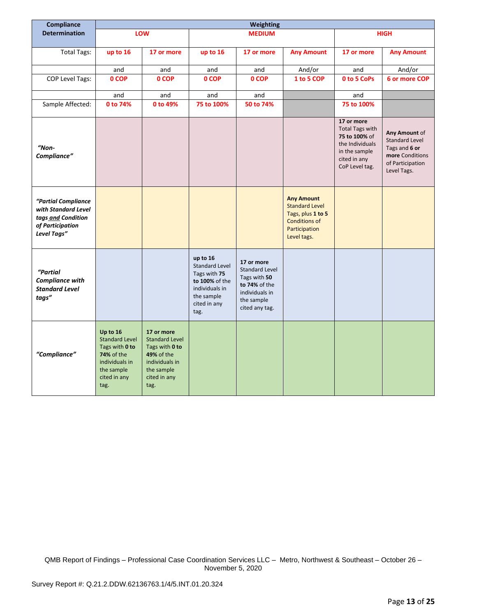| Compliance                                                                                          | Weighting                                                                                                                 |                                                                                                                                    |                                                                                                                             |                                                                                                                        |                                                                                                                         |                                                                                                                             |                                                                                                               |
|-----------------------------------------------------------------------------------------------------|---------------------------------------------------------------------------------------------------------------------------|------------------------------------------------------------------------------------------------------------------------------------|-----------------------------------------------------------------------------------------------------------------------------|------------------------------------------------------------------------------------------------------------------------|-------------------------------------------------------------------------------------------------------------------------|-----------------------------------------------------------------------------------------------------------------------------|---------------------------------------------------------------------------------------------------------------|
| <b>Determination</b>                                                                                |                                                                                                                           | LOW                                                                                                                                |                                                                                                                             | <b>MEDIUM</b>                                                                                                          |                                                                                                                         |                                                                                                                             | <b>HIGH</b>                                                                                                   |
|                                                                                                     |                                                                                                                           |                                                                                                                                    |                                                                                                                             |                                                                                                                        |                                                                                                                         |                                                                                                                             |                                                                                                               |
| <b>Total Tags:</b>                                                                                  | up to 16                                                                                                                  | 17 or more                                                                                                                         | up to 16                                                                                                                    | 17 or more                                                                                                             | <b>Any Amount</b>                                                                                                       | 17 or more                                                                                                                  | <b>Any Amount</b>                                                                                             |
|                                                                                                     | and                                                                                                                       | and                                                                                                                                | and                                                                                                                         | and                                                                                                                    | And/or                                                                                                                  | and                                                                                                                         | And/or                                                                                                        |
| COP Level Tags:                                                                                     | 0 COP                                                                                                                     | 0 COP                                                                                                                              | 0 COP                                                                                                                       | 0 COP                                                                                                                  | 1 to 5 COP                                                                                                              | 0 to 5 CoPs                                                                                                                 | 6 or more COP                                                                                                 |
|                                                                                                     | and                                                                                                                       | and                                                                                                                                | and                                                                                                                         | and                                                                                                                    |                                                                                                                         | and                                                                                                                         |                                                                                                               |
| Sample Affected:                                                                                    | 0 to 74%                                                                                                                  | 0 to 49%                                                                                                                           | 75 to 100%                                                                                                                  | 50 to 74%                                                                                                              |                                                                                                                         | 75 to 100%                                                                                                                  |                                                                                                               |
| "Non-<br>Compliance"                                                                                |                                                                                                                           |                                                                                                                                    |                                                                                                                             |                                                                                                                        |                                                                                                                         | 17 or more<br><b>Total Tags with</b><br>75 to 100% of<br>the Individuals<br>in the sample<br>cited in any<br>CoP Level tag. | Any Amount of<br><b>Standard Level</b><br>Tags and 6 or<br>more Conditions<br>of Participation<br>Level Tags. |
| "Partial Compliance<br>with Standard Level<br>tags and Condition<br>of Participation<br>Level Tags" |                                                                                                                           |                                                                                                                                    |                                                                                                                             |                                                                                                                        | <b>Any Amount</b><br><b>Standard Level</b><br>Tags, plus 1 to 5<br><b>Conditions of</b><br>Participation<br>Level tags. |                                                                                                                             |                                                                                                               |
| "Partial<br><b>Compliance with</b><br><b>Standard Level</b><br>tags"                                |                                                                                                                           |                                                                                                                                    | up to 16<br><b>Standard Level</b><br>Tags with 75<br>to 100% of the<br>individuals in<br>the sample<br>cited in any<br>tag. | 17 or more<br><b>Standard Level</b><br>Tags with 50<br>to 74% of the<br>individuals in<br>the sample<br>cited any tag. |                                                                                                                         |                                                                                                                             |                                                                                                               |
| "Compliance"                                                                                        | Up to 16<br><b>Standard Level</b><br>Tags with 0 to<br>74% of the<br>individuals in<br>the sample<br>cited in any<br>tag. | 17 or more<br><b>Standard Level</b><br>Tags with 0 to<br><b>49% of the</b><br>individuals in<br>the sample<br>cited in any<br>tag. |                                                                                                                             |                                                                                                                        |                                                                                                                         |                                                                                                                             |                                                                                                               |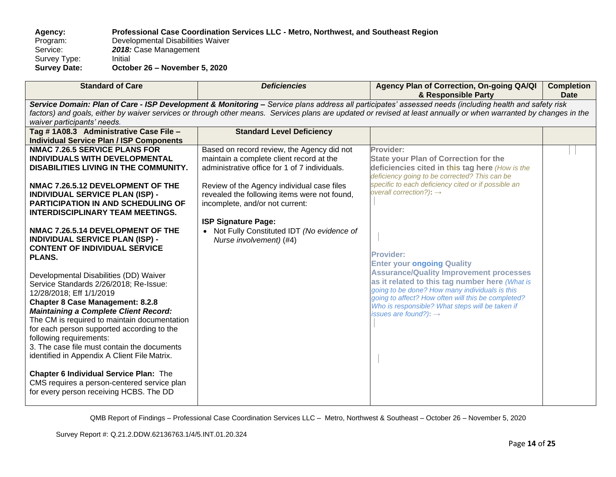**Agency: Professional Case Coordination Services LLC - Metro, Northwest, and Southeast Region** Program: Developmental Disabilities Waiver<br>Service: 2018: Case Management 2018: Case Management<br>Initial Survey Type:<br>Survey Date: **Survey Date: October 26 – November 5, 2020**

| waiver participants' needs.<br>Tag #1A08.3 Administrative Case File -<br><b>Standard Level Deficiency</b><br><b>Individual Service Plan / ISP Components</b><br><b>NMAC 7.26.5 SERVICE PLANS FOR</b><br>Based on record review, the Agency did not<br>Provider:                                                                                                                                                                                                                                                                                                                                                                                                                                                                                                                                                                                                                                                                                                                                                                                                                                                                                                                                                                                                                                                                                                                                                                                                                                                                                                                        | <b>Standard of Care</b>                                                                                                                                                                                                                                                                                                     | Agency Plan of Correction, On-going QA/QI<br><b>Completion</b><br><b>Date</b> |  |  |  |
|----------------------------------------------------------------------------------------------------------------------------------------------------------------------------------------------------------------------------------------------------------------------------------------------------------------------------------------------------------------------------------------------------------------------------------------------------------------------------------------------------------------------------------------------------------------------------------------------------------------------------------------------------------------------------------------------------------------------------------------------------------------------------------------------------------------------------------------------------------------------------------------------------------------------------------------------------------------------------------------------------------------------------------------------------------------------------------------------------------------------------------------------------------------------------------------------------------------------------------------------------------------------------------------------------------------------------------------------------------------------------------------------------------------------------------------------------------------------------------------------------------------------------------------------------------------------------------------|-----------------------------------------------------------------------------------------------------------------------------------------------------------------------------------------------------------------------------------------------------------------------------------------------------------------------------|-------------------------------------------------------------------------------|--|--|--|
|                                                                                                                                                                                                                                                                                                                                                                                                                                                                                                                                                                                                                                                                                                                                                                                                                                                                                                                                                                                                                                                                                                                                                                                                                                                                                                                                                                                                                                                                                                                                                                                        | Service Domain: Plan of Care - ISP Development & Monitoring - Service plans address all participates' assessed needs (including health and safety risk<br>factors) and goals, either by waiver services or through other means. Services plans are updated or revised at least annually or when warranted by changes in the |                                                                               |  |  |  |
|                                                                                                                                                                                                                                                                                                                                                                                                                                                                                                                                                                                                                                                                                                                                                                                                                                                                                                                                                                                                                                                                                                                                                                                                                                                                                                                                                                                                                                                                                                                                                                                        |                                                                                                                                                                                                                                                                                                                             |                                                                               |  |  |  |
| maintain a complete client record at the<br><b>State your Plan of Correction for the</b><br>administrative office for 1 of 7 individuals.<br>deficiencies cited in this tag here (How is the<br>DISABILITIES LIVING IN THE COMMUNITY.<br>deficiency going to be corrected? This can be                                                                                                                                                                                                                                                                                                                                                                                                                                                                                                                                                                                                                                                                                                                                                                                                                                                                                                                                                                                                                                                                                                                                                                                                                                                                                                 | <b>INDIVIDUALS WITH DEVELOPMENTAL</b>                                                                                                                                                                                                                                                                                       |                                                                               |  |  |  |
| specific to each deficiency cited or if possible an<br>NMAC 7.26.5.12 DEVELOPMENT OF THE<br>Review of the Agency individual case files<br>overall correction?): $\rightarrow$<br>revealed the following items were not found,<br><b>INDIVIDUAL SERVICE PLAN (ISP) -</b><br><b>PARTICIPATION IN AND SCHEDULING OF</b><br>incomplete, and/or not current:<br><b>INTERDISCIPLINARY TEAM MEETINGS.</b><br><b>ISP Signature Page:</b><br>NMAC 7.26.5.14 DEVELOPMENT OF THE<br>• Not Fully Constituted IDT (No evidence of<br><b>INDIVIDUAL SERVICE PLAN (ISP) -</b><br>Nurse involvement) (#4)<br><b>CONTENT OF INDIVIDUAL SERVICE</b><br><b>Provider:</b><br><b>PLANS.</b><br><b>Enter your ongoing Quality</b><br><b>Assurance/Quality Improvement processes</b><br>Developmental Disabilities (DD) Waiver<br>as it related to this tag number here (What is<br>Service Standards 2/26/2018; Re-Issue:<br>going to be done? How many individuals is this<br>12/28/2018; Eff 1/1/2019<br>going to affect? How often will this be completed?<br><b>Chapter 8 Case Management: 8.2.8</b><br>Who is responsible? What steps will be taken if<br><b>Maintaining a Complete Client Record:</b><br>issues are found?): $\rightarrow$<br>The CM is required to maintain documentation<br>for each person supported according to the<br>following requirements:<br>3. The case file must contain the documents<br>identified in Appendix A Client File Matrix.<br>Chapter 6 Individual Service Plan: The<br>CMS requires a person-centered service plan<br>for every person receiving HCBS. The DD |                                                                                                                                                                                                                                                                                                                             |                                                                               |  |  |  |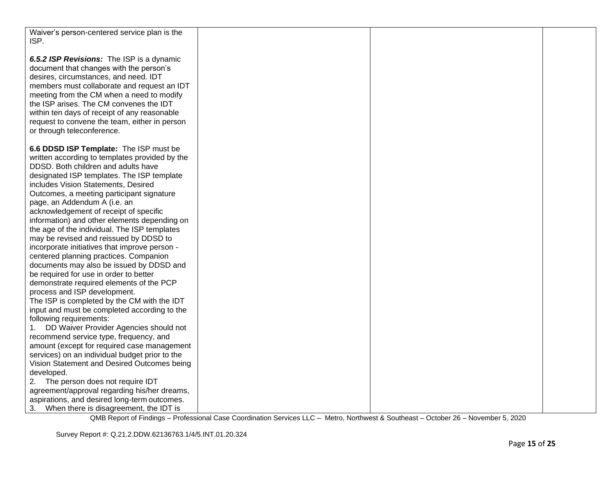| Waiver's person-centered service plan is the<br>ISP.                                    |  |  |
|-----------------------------------------------------------------------------------------|--|--|
| 6.5.2 ISP Revisions: The ISP is a dynamic                                               |  |  |
| document that changes with the person's                                                 |  |  |
| desires, circumstances, and need. IDT                                                   |  |  |
| members must collaborate and request an IDT                                             |  |  |
| meeting from the CM when a need to modify                                               |  |  |
| the ISP arises. The CM convenes the IDT                                                 |  |  |
| within ten days of receipt of any reasonable                                            |  |  |
| request to convene the team, either in person                                           |  |  |
| or through teleconference.                                                              |  |  |
| 6.6 DDSD ISP Template: The ISP must be                                                  |  |  |
| written according to templates provided by the                                          |  |  |
| DDSD. Both children and adults have                                                     |  |  |
| designated ISP templates. The ISP template                                              |  |  |
| includes Vision Statements, Desired                                                     |  |  |
| Outcomes, a meeting participant signature                                               |  |  |
| page, an Addendum A (i.e. an                                                            |  |  |
| acknowledgement of receipt of specific                                                  |  |  |
| information) and other elements depending on                                            |  |  |
| the age of the individual. The ISP templates                                            |  |  |
| may be revised and reissued by DDSD to                                                  |  |  |
| incorporate initiatives that improve person -<br>centered planning practices. Companion |  |  |
| documents may also be issued by DDSD and                                                |  |  |
| be required for use in order to better                                                  |  |  |
| demonstrate required elements of the PCP                                                |  |  |
| process and ISP development.                                                            |  |  |
| The ISP is completed by the CM with the IDT                                             |  |  |
| input and must be completed according to the                                            |  |  |
| following requirements:                                                                 |  |  |
| 1. DD Waiver Provider Agencies should not                                               |  |  |
| recommend service type, frequency, and                                                  |  |  |
| amount (except for required case management                                             |  |  |
| services) on an individual budget prior to the                                          |  |  |
| Vision Statement and Desired Outcomes being                                             |  |  |
| developed.<br>The person does not require IDT                                           |  |  |
| 2.<br>agreement/approval regarding his/her dreams,                                      |  |  |
| aspirations, and desired long-term outcomes.                                            |  |  |
| 3. When there is disagreement, the IDT is                                               |  |  |
|                                                                                         |  |  |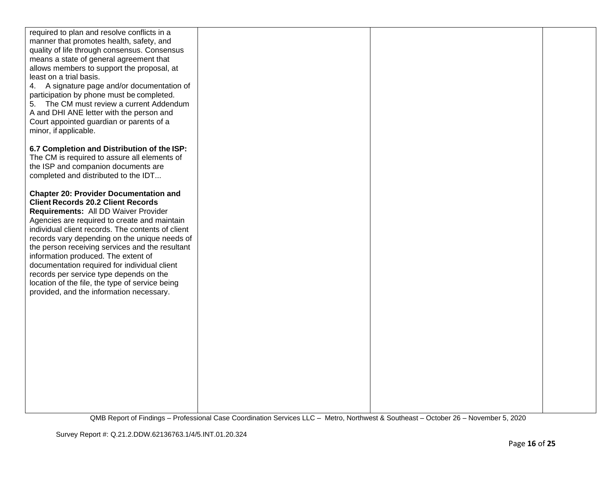| required to plan and resolve conflicts in a<br>manner that promotes health, safety, and |  |  |
|-----------------------------------------------------------------------------------------|--|--|
| quality of life through consensus. Consensus                                            |  |  |
| means a state of general agreement that                                                 |  |  |
| allows members to support the proposal, at                                              |  |  |
| least on a trial basis.<br>4. A signature page and/or documentation of                  |  |  |
| participation by phone must be completed.                                               |  |  |
| 5. The CM must review a current Addendum                                                |  |  |
| A and DHI ANE letter with the person and                                                |  |  |
| Court appointed guardian or parents of a<br>minor, if applicable.                       |  |  |
|                                                                                         |  |  |
| 6.7 Completion and Distribution of the ISP:                                             |  |  |
| The CM is required to assure all elements of                                            |  |  |
| the ISP and companion documents are<br>completed and distributed to the IDT             |  |  |
|                                                                                         |  |  |
| <b>Chapter 20: Provider Documentation and</b>                                           |  |  |
| <b>Client Records 20.2 Client Records</b>                                               |  |  |
| Requirements: All DD Waiver Provider<br>Agencies are required to create and maintain    |  |  |
| individual client records. The contents of client                                       |  |  |
| records vary depending on the unique needs of                                           |  |  |
| the person receiving services and the resultant                                         |  |  |
| information produced. The extent of<br>documentation required for individual client     |  |  |
| records per service type depends on the                                                 |  |  |
| location of the file, the type of service being                                         |  |  |
| provided, and the information necessary.                                                |  |  |
|                                                                                         |  |  |
|                                                                                         |  |  |
|                                                                                         |  |  |
|                                                                                         |  |  |
|                                                                                         |  |  |
|                                                                                         |  |  |
|                                                                                         |  |  |
|                                                                                         |  |  |
|                                                                                         |  |  |
|                                                                                         |  |  |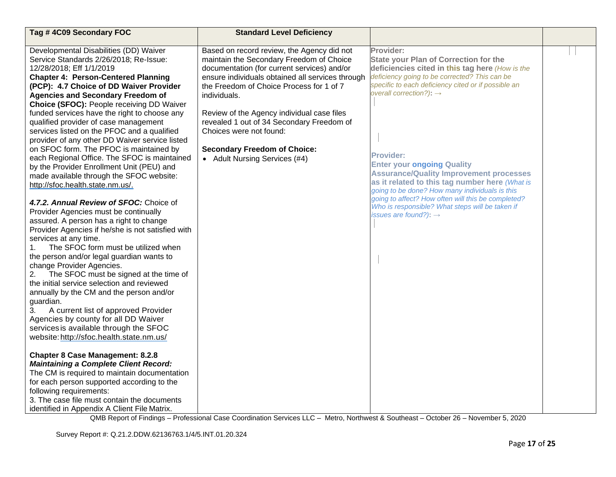| Provider:<br>Developmental Disabilities (DD) Waiver<br>Based on record review, the Agency did not<br>Service Standards 2/26/2018; Re-Issue:<br>maintain the Secondary Freedom of Choice<br><b>State your Plan of Correction for the</b><br>documentation (for current services) and/or<br>deficiencies cited in this tag here (How is the<br>12/28/2018; Eff 1/1/2019<br>deficiency going to be corrected? This can be<br>ensure individuals obtained all services through<br><b>Chapter 4: Person-Centered Planning</b><br>specific to each deficiency cited or if possible an<br>(PCP): 4.7 Choice of DD Waiver Provider<br>the Freedom of Choice Process for 1 of 7<br>overall correction?): $\rightarrow$<br><b>Agencies and Secondary Freedom of</b><br>individuals.                                                                                                                                                                                                                                                                                                                                                                                                                                                                                                                                                                                                                                                                                                                                                                                                                                                                                                                                                                                                                                                                                                                                                                                          | Tag #4C09 Secondary FOC                   | <b>Standard Level Deficiency</b> |  |
|--------------------------------------------------------------------------------------------------------------------------------------------------------------------------------------------------------------------------------------------------------------------------------------------------------------------------------------------------------------------------------------------------------------------------------------------------------------------------------------------------------------------------------------------------------------------------------------------------------------------------------------------------------------------------------------------------------------------------------------------------------------------------------------------------------------------------------------------------------------------------------------------------------------------------------------------------------------------------------------------------------------------------------------------------------------------------------------------------------------------------------------------------------------------------------------------------------------------------------------------------------------------------------------------------------------------------------------------------------------------------------------------------------------------------------------------------------------------------------------------------------------------------------------------------------------------------------------------------------------------------------------------------------------------------------------------------------------------------------------------------------------------------------------------------------------------------------------------------------------------------------------------------------------------------------------------------------------------|-------------------------------------------|----------------------------------|--|
| funded services have the right to choose any<br>Review of the Agency individual case files<br>revealed 1 out of 34 Secondary Freedom of<br>qualified provider of case management<br>Choices were not found:<br>services listed on the PFOC and a qualified<br>provider of any other DD Waiver service listed<br>on SFOC form. The PFOC is maintained by<br><b>Secondary Freedom of Choice:</b><br><b>Provider:</b><br>each Regional Office. The SFOC is maintained<br>• Adult Nursing Services (#4)<br><b>Enter your ongoing Quality</b><br>by the Provider Enrollment Unit (PEU) and<br><b>Assurance/Quality Improvement processes</b><br>made available through the SFOC website:<br>as it related to this tag number here (What is<br>http://sfoc.health.state.nm.us/.<br>going to be done? How many individuals is this<br>going to affect? How often will this be completed?<br>4.7.2. Annual Review of SFOC: Choice of<br>Who is responsible? What steps will be taken if<br>Provider Agencies must be continually<br>issues are found?): $\rightarrow$<br>assured. A person has a right to change<br>Provider Agencies if he/she is not satisfied with<br>services at any time.<br>The SFOC form must be utilized when<br>1.<br>the person and/or legal guardian wants to<br>change Provider Agencies.<br>The SFOC must be signed at the time of<br>2.<br>the initial service selection and reviewed<br>annually by the CM and the person and/or<br>guardian.<br>3.<br>A current list of approved Provider<br>Agencies by county for all DD Waiver<br>services is available through the SFOC<br>website: http://sfoc.health.state.nm.us/<br><b>Chapter 8 Case Management: 8.2.8</b><br><b>Maintaining a Complete Client Record:</b><br>The CM is required to maintain documentation<br>for each person supported according to the<br>following requirements:<br>3. The case file must contain the documents<br>identified in Appendix A Client File Matrix. | Choice (SFOC): People receiving DD Waiver |                                  |  |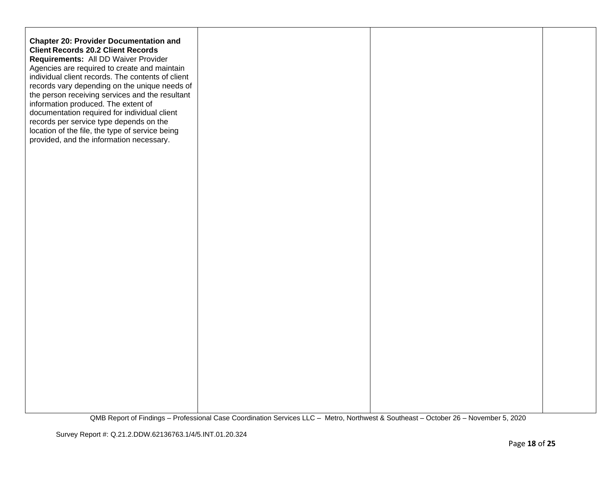| <b>Chapter 20: Provider Documentation and</b><br><b>Client Records 20.2 Client Records</b><br>Requirements: All DD Waiver Provider<br>Agencies are required to create and maintain<br>individual client records. The contents of client<br>records vary depending on the unique needs of<br>the person receiving services and the resultant<br>information produced. The extent of<br>documentation required for individual client<br>records per service type depends on the<br>location of the file, the type of service being<br>provided, and the information necessary. |  |  |
|------------------------------------------------------------------------------------------------------------------------------------------------------------------------------------------------------------------------------------------------------------------------------------------------------------------------------------------------------------------------------------------------------------------------------------------------------------------------------------------------------------------------------------------------------------------------------|--|--|
|                                                                                                                                                                                                                                                                                                                                                                                                                                                                                                                                                                              |  |  |
|                                                                                                                                                                                                                                                                                                                                                                                                                                                                                                                                                                              |  |  |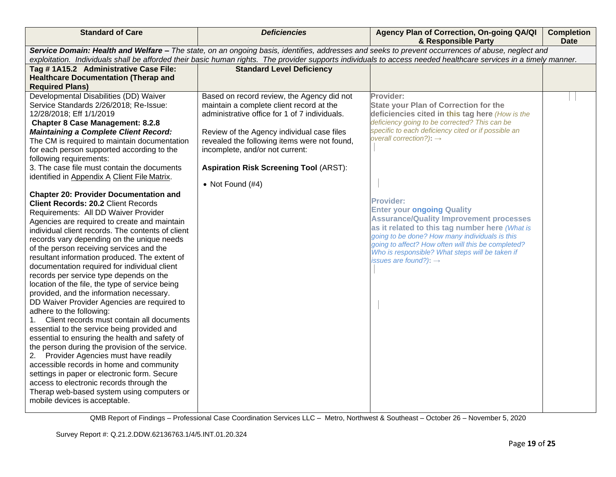| <b>Standard of Care</b>                                                                                                                                                                                                                                                                                                                                                                                                                                                                                                                                                                                                                                                                                                                                                                                                                                                                                                                                                                                                                                                                                                                                                                                                                                                                                                                                                                                                                 | <b>Deficiencies</b>                                                                                                                                                                                                                                                                                                                             | Agency Plan of Correction, On-going QA/QI<br>& Responsible Party                                                                                                                                                                                                                                                                                                                                                                                                                                                                                                                                                         | <b>Completion</b><br><b>Date</b> |  |
|-----------------------------------------------------------------------------------------------------------------------------------------------------------------------------------------------------------------------------------------------------------------------------------------------------------------------------------------------------------------------------------------------------------------------------------------------------------------------------------------------------------------------------------------------------------------------------------------------------------------------------------------------------------------------------------------------------------------------------------------------------------------------------------------------------------------------------------------------------------------------------------------------------------------------------------------------------------------------------------------------------------------------------------------------------------------------------------------------------------------------------------------------------------------------------------------------------------------------------------------------------------------------------------------------------------------------------------------------------------------------------------------------------------------------------------------|-------------------------------------------------------------------------------------------------------------------------------------------------------------------------------------------------------------------------------------------------------------------------------------------------------------------------------------------------|--------------------------------------------------------------------------------------------------------------------------------------------------------------------------------------------------------------------------------------------------------------------------------------------------------------------------------------------------------------------------------------------------------------------------------------------------------------------------------------------------------------------------------------------------------------------------------------------------------------------------|----------------------------------|--|
| Service Domain: Health and Welfare - The state, on an ongoing basis, identifies, addresses and seeks to prevent occurrences of abuse, neglect and<br>exploitation. Individuals shall be afforded their basic human rights. The provider supports individuals to access needed healthcare services in a timely manner.                                                                                                                                                                                                                                                                                                                                                                                                                                                                                                                                                                                                                                                                                                                                                                                                                                                                                                                                                                                                                                                                                                                   |                                                                                                                                                                                                                                                                                                                                                 |                                                                                                                                                                                                                                                                                                                                                                                                                                                                                                                                                                                                                          |                                  |  |
| Tag # 1A15.2 Administrative Case File:                                                                                                                                                                                                                                                                                                                                                                                                                                                                                                                                                                                                                                                                                                                                                                                                                                                                                                                                                                                                                                                                                                                                                                                                                                                                                                                                                                                                  | <b>Standard Level Deficiency</b>                                                                                                                                                                                                                                                                                                                |                                                                                                                                                                                                                                                                                                                                                                                                                                                                                                                                                                                                                          |                                  |  |
|                                                                                                                                                                                                                                                                                                                                                                                                                                                                                                                                                                                                                                                                                                                                                                                                                                                                                                                                                                                                                                                                                                                                                                                                                                                                                                                                                                                                                                         |                                                                                                                                                                                                                                                                                                                                                 |                                                                                                                                                                                                                                                                                                                                                                                                                                                                                                                                                                                                                          |                                  |  |
| <b>Required Plans)</b>                                                                                                                                                                                                                                                                                                                                                                                                                                                                                                                                                                                                                                                                                                                                                                                                                                                                                                                                                                                                                                                                                                                                                                                                                                                                                                                                                                                                                  |                                                                                                                                                                                                                                                                                                                                                 |                                                                                                                                                                                                                                                                                                                                                                                                                                                                                                                                                                                                                          |                                  |  |
| <b>Healthcare Documentation (Therap and</b><br>Developmental Disabilities (DD) Waiver<br>Service Standards 2/26/2018; Re-Issue:<br>12/28/2018; Eff 1/1/2019<br><b>Chapter 8 Case Management: 8.2.8</b><br><b>Maintaining a Complete Client Record:</b><br>The CM is required to maintain documentation<br>for each person supported according to the<br>following requirements:<br>3. The case file must contain the documents<br>identified in Appendix A Client File Matrix.<br><b>Chapter 20: Provider Documentation and</b><br><b>Client Records: 20.2 Client Records</b><br>Requirements: All DD Waiver Provider<br>Agencies are required to create and maintain<br>individual client records. The contents of client<br>records vary depending on the unique needs<br>of the person receiving services and the<br>resultant information produced. The extent of<br>documentation required for individual client<br>records per service type depends on the<br>location of the file, the type of service being<br>provided, and the information necessary.<br>DD Waiver Provider Agencies are required to<br>adhere to the following:<br>Client records must contain all documents<br>1.<br>essential to the service being provided and<br>essential to ensuring the health and safety of<br>the person during the provision of the service.<br>2. Provider Agencies must have readily<br>accessible records in home and community | Based on record review, the Agency did not<br>maintain a complete client record at the<br>administrative office for 1 of 7 individuals.<br>Review of the Agency individual case files<br>revealed the following items were not found,<br>incomplete, and/or not current:<br><b>Aspiration Risk Screening Tool (ARST):</b><br>• Not Found $(H4)$ | Provider:<br><b>State your Plan of Correction for the</b><br>deficiencies cited in this tag here (How is the<br>deficiency going to be corrected? This can be<br>specific to each deficiency cited or if possible an<br>overall correction?): $\rightarrow$<br><b>Provider:</b><br><b>Enter your ongoing Quality</b><br><b>Assurance/Quality Improvement processes</b><br>as it related to this tag number here (What is<br>going to be done? How many individuals is this<br>going to affect? How often will this be completed?<br>Who is responsible? What steps will be taken if<br>issues are found?): $\rightarrow$ |                                  |  |
| settings in paper or electronic form. Secure                                                                                                                                                                                                                                                                                                                                                                                                                                                                                                                                                                                                                                                                                                                                                                                                                                                                                                                                                                                                                                                                                                                                                                                                                                                                                                                                                                                            |                                                                                                                                                                                                                                                                                                                                                 |                                                                                                                                                                                                                                                                                                                                                                                                                                                                                                                                                                                                                          |                                  |  |
| access to electronic records through the<br>Therap web-based system using computers or<br>mobile devices is acceptable.                                                                                                                                                                                                                                                                                                                                                                                                                                                                                                                                                                                                                                                                                                                                                                                                                                                                                                                                                                                                                                                                                                                                                                                                                                                                                                                 |                                                                                                                                                                                                                                                                                                                                                 |                                                                                                                                                                                                                                                                                                                                                                                                                                                                                                                                                                                                                          |                                  |  |
|                                                                                                                                                                                                                                                                                                                                                                                                                                                                                                                                                                                                                                                                                                                                                                                                                                                                                                                                                                                                                                                                                                                                                                                                                                                                                                                                                                                                                                         |                                                                                                                                                                                                                                                                                                                                                 |                                                                                                                                                                                                                                                                                                                                                                                                                                                                                                                                                                                                                          |                                  |  |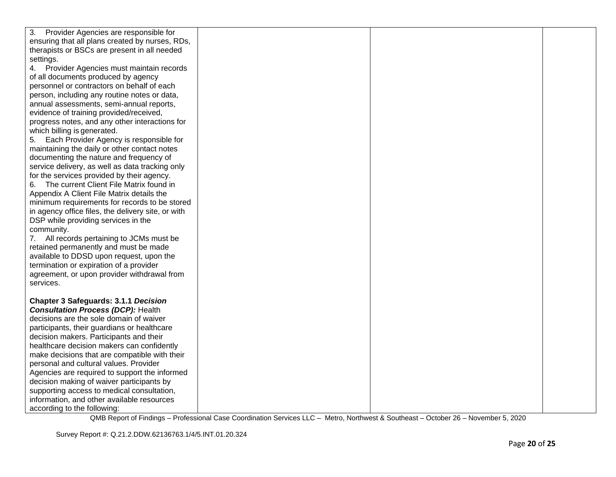| 3.<br>Provider Agencies are responsible for        |  |  |
|----------------------------------------------------|--|--|
| ensuring that all plans created by nurses, RDs,    |  |  |
| therapists or BSCs are present in all needed       |  |  |
| settings.                                          |  |  |
| 4. Provider Agencies must maintain records         |  |  |
| of all documents produced by agency                |  |  |
| personnel or contractors on behalf of each         |  |  |
| person, including any routine notes or data,       |  |  |
| annual assessments, semi-annual reports,           |  |  |
| evidence of training provided/received,            |  |  |
| progress notes, and any other interactions for     |  |  |
| which billing is generated.                        |  |  |
| 5. Each Provider Agency is responsible for         |  |  |
| maintaining the daily or other contact notes       |  |  |
| documenting the nature and frequency of            |  |  |
| service delivery, as well as data tracking only    |  |  |
| for the services provided by their agency.         |  |  |
| 6. The current Client File Matrix found in         |  |  |
| Appendix A Client File Matrix details the          |  |  |
| minimum requirements for records to be stored      |  |  |
| in agency office files, the delivery site, or with |  |  |
| DSP while providing services in the                |  |  |
| community.                                         |  |  |
| 7. All records pertaining to JCMs must be          |  |  |
| retained permanently and must be made              |  |  |
| available to DDSD upon request, upon the           |  |  |
| termination or expiration of a provider            |  |  |
| agreement, or upon provider withdrawal from        |  |  |
| services.                                          |  |  |
|                                                    |  |  |
| <b>Chapter 3 Safeguards: 3.1.1 Decision</b>        |  |  |
| <b>Consultation Process (DCP): Health</b>          |  |  |
| decisions are the sole domain of waiver            |  |  |
| participants, their guardians or healthcare        |  |  |
| decision makers. Participants and their            |  |  |
| healthcare decision makers can confidently         |  |  |
| make decisions that are compatible with their      |  |  |
| personal and cultural values. Provider             |  |  |
| Agencies are required to support the informed      |  |  |
| decision making of waiver participants by          |  |  |
| supporting access to medical consultation,         |  |  |
| information, and other available resources         |  |  |
| according to the following:                        |  |  |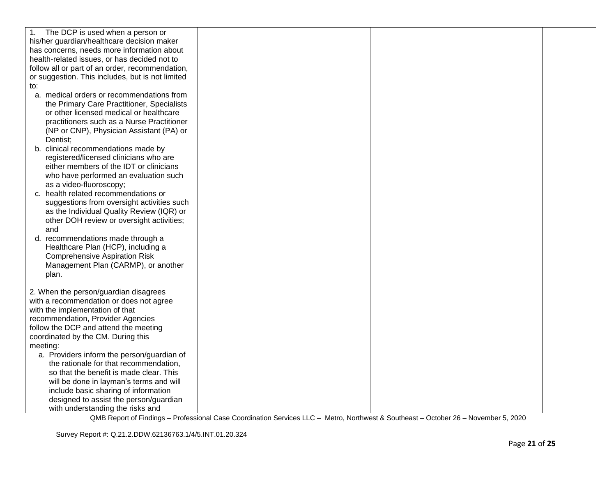| The DCP is used when a person or<br>1.<br>his/her guardian/healthcare decision maker<br>has concerns, needs more information about<br>health-related issues, or has decided not to<br>follow all or part of an order, recommendation,<br>or suggestion. This includes, but is not limited<br>to:<br>a. medical orders or recommendations from<br>the Primary Care Practitioner, Specialists |  |  |
|---------------------------------------------------------------------------------------------------------------------------------------------------------------------------------------------------------------------------------------------------------------------------------------------------------------------------------------------------------------------------------------------|--|--|
| or other licensed medical or healthcare<br>practitioners such as a Nurse Practitioner<br>(NP or CNP), Physician Assistant (PA) or<br>Dentist;<br>b. clinical recommendations made by<br>registered/licensed clinicians who are                                                                                                                                                              |  |  |
| either members of the IDT or clinicians<br>who have performed an evaluation such<br>as a video-fluoroscopy;<br>c. health related recommendations or<br>suggestions from oversight activities such<br>as the Individual Quality Review (IQR) or                                                                                                                                              |  |  |
| other DOH review or oversight activities;<br>and<br>d. recommendations made through a<br>Healthcare Plan (HCP), including a<br><b>Comprehensive Aspiration Risk</b><br>Management Plan (CARMP), or another<br>plan.                                                                                                                                                                         |  |  |
| 2. When the person/guardian disagrees<br>with a recommendation or does not agree<br>with the implementation of that<br>recommendation, Provider Agencies<br>follow the DCP and attend the meeting<br>coordinated by the CM. During this<br>meeting:                                                                                                                                         |  |  |
| a. Providers inform the person/guardian of<br>the rationale for that recommendation,<br>so that the benefit is made clear. This<br>will be done in layman's terms and will<br>include basic sharing of information<br>designed to assist the person/guardian<br>with understanding the risks and                                                                                            |  |  |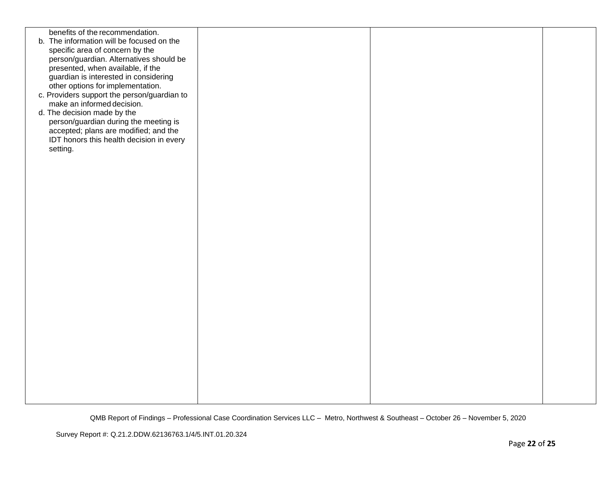| benefits of the recommendation.<br>b. The information will be focused on the<br>specific area of concern by the<br>person/guardian. Alternatives should be<br>presented, when available, if the<br>guardian is interested in considering<br>other options for implementation.<br>c. Providers support the person/guardian to<br>make an informed decision.<br>d. The decision made by the<br>person/guardian during the meeting is<br>accepted; plans are modified; and the<br>IDT honors this health decision in every<br>setting. |  |  |
|-------------------------------------------------------------------------------------------------------------------------------------------------------------------------------------------------------------------------------------------------------------------------------------------------------------------------------------------------------------------------------------------------------------------------------------------------------------------------------------------------------------------------------------|--|--|
|                                                                                                                                                                                                                                                                                                                                                                                                                                                                                                                                     |  |  |
|                                                                                                                                                                                                                                                                                                                                                                                                                                                                                                                                     |  |  |
|                                                                                                                                                                                                                                                                                                                                                                                                                                                                                                                                     |  |  |
|                                                                                                                                                                                                                                                                                                                                                                                                                                                                                                                                     |  |  |
|                                                                                                                                                                                                                                                                                                                                                                                                                                                                                                                                     |  |  |
|                                                                                                                                                                                                                                                                                                                                                                                                                                                                                                                                     |  |  |
|                                                                                                                                                                                                                                                                                                                                                                                                                                                                                                                                     |  |  |
|                                                                                                                                                                                                                                                                                                                                                                                                                                                                                                                                     |  |  |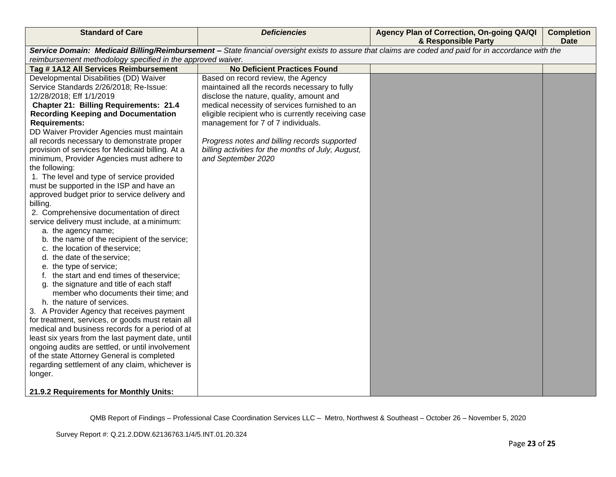| <b>Standard of Care</b>                                                                                                                               | <b>Deficiencies</b>                                | Agency Plan of Correction, On-going QA/QI<br>& Responsible Party | <b>Completion</b><br><b>Date</b> |  |
|-------------------------------------------------------------------------------------------------------------------------------------------------------|----------------------------------------------------|------------------------------------------------------------------|----------------------------------|--|
| Service Domain: Medicaid Billing/Reimbursement - State financial oversight exists to assure that claims are coded and paid for in accordance with the |                                                    |                                                                  |                                  |  |
| reimbursement methodology specified in the approved waiver.                                                                                           |                                                    |                                                                  |                                  |  |
| Tag #1A12 All Services Reimbursement                                                                                                                  | <b>No Deficient Practices Found</b>                |                                                                  |                                  |  |
| Developmental Disabilities (DD) Waiver                                                                                                                | Based on record review, the Agency                 |                                                                  |                                  |  |
| Service Standards 2/26/2018; Re-Issue:                                                                                                                | maintained all the records necessary to fully      |                                                                  |                                  |  |
| 12/28/2018; Eff 1/1/2019                                                                                                                              | disclose the nature, quality, amount and           |                                                                  |                                  |  |
| <b>Chapter 21: Billing Requirements: 21.4</b>                                                                                                         | medical necessity of services furnished to an      |                                                                  |                                  |  |
| <b>Recording Keeping and Documentation</b>                                                                                                            | eligible recipient who is currently receiving case |                                                                  |                                  |  |
| <b>Requirements:</b>                                                                                                                                  | management for 7 of 7 individuals.                 |                                                                  |                                  |  |
| DD Waiver Provider Agencies must maintain                                                                                                             |                                                    |                                                                  |                                  |  |
| all records necessary to demonstrate proper                                                                                                           | Progress notes and billing records supported       |                                                                  |                                  |  |
| provision of services for Medicaid billing. At a                                                                                                      | billing activities for the months of July, August, |                                                                  |                                  |  |
| minimum, Provider Agencies must adhere to                                                                                                             | and September 2020                                 |                                                                  |                                  |  |
| the following:                                                                                                                                        |                                                    |                                                                  |                                  |  |
| 1. The level and type of service provided                                                                                                             |                                                    |                                                                  |                                  |  |
| must be supported in the ISP and have an                                                                                                              |                                                    |                                                                  |                                  |  |
| approved budget prior to service delivery and                                                                                                         |                                                    |                                                                  |                                  |  |
| billing.                                                                                                                                              |                                                    |                                                                  |                                  |  |
| 2. Comprehensive documentation of direct                                                                                                              |                                                    |                                                                  |                                  |  |
| service delivery must include, at a minimum:                                                                                                          |                                                    |                                                                  |                                  |  |
| a. the agency name;                                                                                                                                   |                                                    |                                                                  |                                  |  |
| b. the name of the recipient of the service;                                                                                                          |                                                    |                                                                  |                                  |  |
| c. the location of theservice;                                                                                                                        |                                                    |                                                                  |                                  |  |
| d. the date of the service;                                                                                                                           |                                                    |                                                                  |                                  |  |
| e. the type of service;                                                                                                                               |                                                    |                                                                  |                                  |  |
| f. the start and end times of theservice;                                                                                                             |                                                    |                                                                  |                                  |  |
| g. the signature and title of each staff                                                                                                              |                                                    |                                                                  |                                  |  |
| member who documents their time; and                                                                                                                  |                                                    |                                                                  |                                  |  |
| h. the nature of services.                                                                                                                            |                                                    |                                                                  |                                  |  |
| 3. A Provider Agency that receives payment                                                                                                            |                                                    |                                                                  |                                  |  |
| for treatment, services, or goods must retain all                                                                                                     |                                                    |                                                                  |                                  |  |
| medical and business records for a period of at                                                                                                       |                                                    |                                                                  |                                  |  |
| least six years from the last payment date, until                                                                                                     |                                                    |                                                                  |                                  |  |
| ongoing audits are settled, or until involvement                                                                                                      |                                                    |                                                                  |                                  |  |
| of the state Attorney General is completed                                                                                                            |                                                    |                                                                  |                                  |  |
| regarding settlement of any claim, whichever is                                                                                                       |                                                    |                                                                  |                                  |  |
| longer.                                                                                                                                               |                                                    |                                                                  |                                  |  |
| 21.9.2 Requirements for Monthly Units:                                                                                                                |                                                    |                                                                  |                                  |  |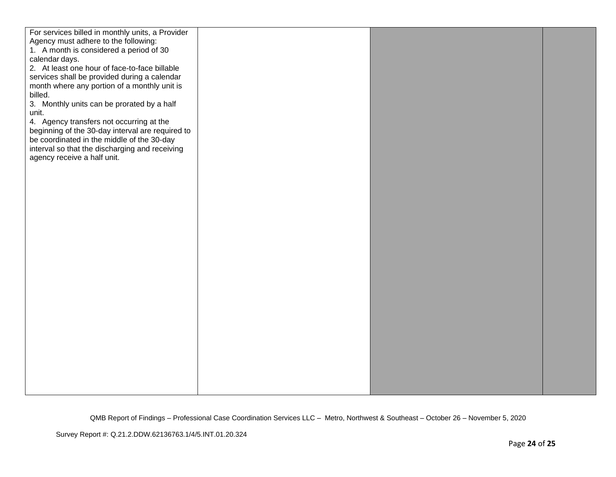| For services billed in monthly units, a Provider |  |  |
|--------------------------------------------------|--|--|
| Agency must adhere to the following:             |  |  |
| 1. A month is considered a period of 30          |  |  |
| calendar days.                                   |  |  |
| 2. At least one hour of face-to-face billable    |  |  |
| services shall be provided during a calendar     |  |  |
| month where any portion of a monthly unit is     |  |  |
| billed.                                          |  |  |
| 3. Monthly units can be prorated by a half       |  |  |
|                                                  |  |  |
| unit.                                            |  |  |
| 4. Agency transfers not occurring at the         |  |  |
| beginning of the 30-day interval are required to |  |  |
| be coordinated in the middle of the 30-day       |  |  |
| interval so that the discharging and receiving   |  |  |
| agency receive a half unit.                      |  |  |
|                                                  |  |  |
|                                                  |  |  |
|                                                  |  |  |
|                                                  |  |  |
|                                                  |  |  |
|                                                  |  |  |
|                                                  |  |  |
|                                                  |  |  |
|                                                  |  |  |
|                                                  |  |  |
|                                                  |  |  |
|                                                  |  |  |
|                                                  |  |  |
|                                                  |  |  |
|                                                  |  |  |
|                                                  |  |  |
|                                                  |  |  |
|                                                  |  |  |
|                                                  |  |  |
|                                                  |  |  |
|                                                  |  |  |
|                                                  |  |  |
|                                                  |  |  |
|                                                  |  |  |
|                                                  |  |  |
|                                                  |  |  |